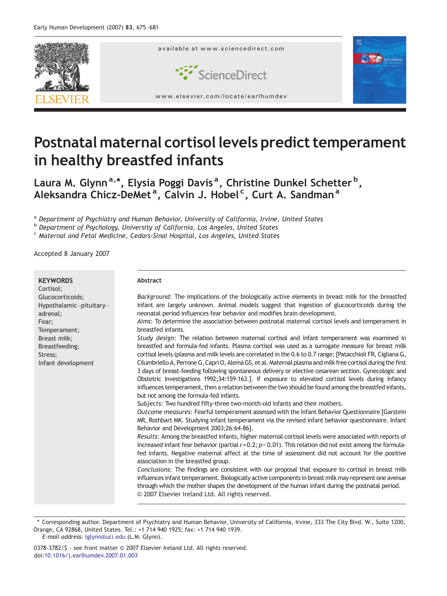

# Postnatal maternal cortisol levels predict temperament in healthy breastfed infants

Laura M. Glynn<sup>a,\*</sup>, Elysia Poggi Davis<sup>a</sup>, Christine Dunkel Schetter<sup>b</sup>, Aleksandra Chicz-DeMet<sup>a</sup>, Calvin J. Hobel<sup>c</sup>, Curt A. Sandman<sup>a</sup>

a Department of Psychiatry and Human Behavior, University of California, Irvine, United States

b Department of Psychology, University of California, Los Angeles, United States

<sup>c</sup> Maternal and Fetal Medicine, Cedars-Sinai Hospital, Los Angeles, United States

Accepted 8 January 2007

| <b>KEYWORDS</b><br>Cortisol;                                                                                                                        | Abstract                                                                                                                                                                                                                                                                                                                                                                                                                                                                                                                                                                                                                                                                                                                                                                                                                                                                                                                                                                                                                                                                                                                                                                                                                                                                                                                                                                                                                                                                                                                                                                                                                                                                                                                                                                                                                                                                                                                                                                                                                                                                                                                                                                                                                                                                                         |
|-----------------------------------------------------------------------------------------------------------------------------------------------------|--------------------------------------------------------------------------------------------------------------------------------------------------------------------------------------------------------------------------------------------------------------------------------------------------------------------------------------------------------------------------------------------------------------------------------------------------------------------------------------------------------------------------------------------------------------------------------------------------------------------------------------------------------------------------------------------------------------------------------------------------------------------------------------------------------------------------------------------------------------------------------------------------------------------------------------------------------------------------------------------------------------------------------------------------------------------------------------------------------------------------------------------------------------------------------------------------------------------------------------------------------------------------------------------------------------------------------------------------------------------------------------------------------------------------------------------------------------------------------------------------------------------------------------------------------------------------------------------------------------------------------------------------------------------------------------------------------------------------------------------------------------------------------------------------------------------------------------------------------------------------------------------------------------------------------------------------------------------------------------------------------------------------------------------------------------------------------------------------------------------------------------------------------------------------------------------------------------------------------------------------------------------------------------------------|
| Glucocorticoids;<br>Hypothalamic-pituitary-<br>adrenal;<br>Fear;<br>Temperament;<br>Breast milk;<br>Breastfeeding;<br>Stress;<br>Infant development | Background: The implications of the biologically active elements in breast milk for the breastfed<br>infant are largely unknown. Animal models suggest that ingestion of glucocorticoids during the<br>neonatal period influences fear behavior and modifies brain development.<br>Aims: To determine the association between postnatal maternal cortisol levels and temperament in<br>breastfed infants.<br>Study design: The relation between maternal cortisol and infant temperament was examined in<br>breastfed and formula-fed infants. Plasma cortisol was used as a surrogate measure for breast milk<br>cortisol levels (plasma and milk levels are correlated in the 0.6 to 0.7 range; [Patacchioli FR, Cigliana G,<br>Cilumbriello A, Perrone G, Capri O, Alemà GS, et al. Maternal plasma and milk free cortisol during the first<br>3 days of breast-feeding following spontaneous delivery or elective cesarean section. Gynecologic and<br>Obstetric Investigations 1992;34:159-163.]. If exposure to elevated cortisol levels during infancy<br>influences temperament, then a relation between the two should be found among the breastfed infants,<br>but not among the formula-fed infants.<br>Subjects: Two hundred fifty-three two-month-old infants and their mothers.<br>Outcome measures: Fearful temperament assessed with the Infant Behavior Questionnaire [Garstein]<br>MR, Rothbart MK. Studying infant temperament via the revised infant behavior questionnaire. Infant<br>Behavior and Development 2003;26:64-86].<br>Results: Among the breastfed infants, higher maternal cortisol levels were associated with reports of<br>increased infant fear behavior (partial $r=0.2$ ; $p<0.01$ ). This relation did not exist among the formula-<br>fed infants. Negative maternal affect at the time of assessment did not account for the positive<br>association in the breastfed group.<br>Conclusions: The findings are consistent with our proposal that exposure to cortisol in breast milk<br>influences infant temperament. Biologically active components in breast milk may represent one avenue<br>through which the mother shapes the development of the human infant during the postnatal period.<br>© 2007 Elsevier Ireland Ltd. All rights reserved. |
|                                                                                                                                                     |                                                                                                                                                                                                                                                                                                                                                                                                                                                                                                                                                                                                                                                                                                                                                                                                                                                                                                                                                                                                                                                                                                                                                                                                                                                                                                                                                                                                                                                                                                                                                                                                                                                                                                                                                                                                                                                                                                                                                                                                                                                                                                                                                                                                                                                                                                  |

⁎ Corresponding author. Department of Psychiatry and Human Behavior, University of California, Irvine, 333 The City Blvd. W., Suite 1200, Orange, CA 92868, United States. Tel.: +1 714 940 1925; fax: +1 714 940 1939. E-mail address: [lglynn@uci.edu](mailto:lglynn@uci.�edu) (L.M. Glynn).

0378-3782/\$ - see front matter © 2007 Elsevier Ireland Ltd. All rights reserved. doi[:10.1016/j.earlhumdev.2007.01.003](http://dx.doi.org/10.1016/j.earlhumdev.2007.01.003)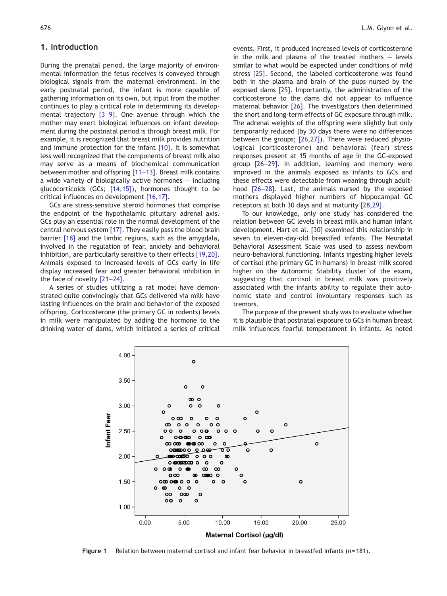## <span id="page-1-0"></span>1. Introduction

During the prenatal period, the large majority of environmental information the fetus receives is conveyed through biological signals from the maternal environment. In the early postnatal period, the infant is more capable of gathering information on its own, but input from the mother continues to play a critical role in determining its developmental trajectory [\[3](#page-5-0)–9]. One avenue through which the mother may exert biological influences on infant development during the postnatal period is through breast milk. For example, it is recognized that breast milk provides nutrition and immune protection for the infant [\[10\].](#page-5-0) It is somewhat less well recognized that the components of breast milk also may serve as a means of biochemical communication between mother and offspring [\[11](#page-5-0)–13]. Breast milk contains a wide variety of biologically active hormones — including glucocorticoids (GCs; [\[14,15\]\)](#page-5-0), hormones thought to be critical influences on development [\[16,17\]](#page-5-0).

GCs are stress-sensitive steroid hormones that comprise the endpoint of the hypothalamic–pituitary–adrenal axis. GCs play an essential role in the normal development of the central nervous system [\[17\]](#page-5-0). They easily pass the blood brain barrier [\[18\]](#page-5-0) and the limbic regions, such as the amygdala, involved in the regulation of fear, anxiety and behavioral inhibition, are particularly sensitive to their effects [\[19,20\].](#page-5-0) Animals exposed to increased levels of GCs early in life display increased fear and greater behavioral inhibition in the face of novelty [\[21](#page-5-0)–24].

A series of studies utilizing a rat model have demonstrated quite convincingly that GCs delivered via milk have lasting influences on the brain and behavior of the exposed offspring. Corticosterone (the primary GC in rodents) levels in milk were manipulated by adding the hormone to the drinking water of dams, which initiated a series of critical

events. First, it produced increased levels of corticosterone in the milk and plasma of the treated mothers  $-$  levels similar to what would be expected under conditions of mild stress [\[25\]](#page-5-0). Second, the labeled corticosterone was found both in the plasma and brain of the pups nursed by the exposed dams [\[25\]](#page-5-0). Importantly, the administration of the corticosterone to the dams did not appear to influence maternal behavior [\[26\].](#page-5-0) The investigators then determined the short and long-term effects of GC exposure through milk. The adrenal weights of the offspring were slightly but only temporarily reduced (by 30 days there were no differences between the groups; [\[26,27\]](#page-5-0)). There were reduced physiological (corticosterone) and behavioral (fear) stress responses present at 15 months of age in the GC-exposed group [26–[29\].](#page-5-0) In addition, learning and memory were improved in the animals exposed as infants to GCs and these effects were detectable from weaning through adulthood [26–[28\].](#page-5-0) Last, the animals nursed by the exposed mothers displayed higher numbers of hippocampal GC receptors at both 30 days and at maturity [\[28,29\].](#page-5-0)

To our knowledge, only one study has considered the relation between GC levels in breast milk and human infant development. Hart et al. [\[30\]](#page-5-0) examined this relationship in seven to eleven-day-old breastfed infants. The Neonatal Behavioral Assessment Scale was used to assess newborn neuro-behavioral functioning. Infants ingesting higher levels of cortisol (the primary GC in humans) in breast milk scored higher on the Autonomic Stability cluster of the exam, suggesting that cortisol in breast milk was positively associated with the infants ability to regulate their autonomic state and control involuntary responses such as tremors.

The purpose of the present study was to evaluate whether it is plausible that postnatal exposure to GCs in human breast milk influences fearful temperament in infants. As noted



Figure 1 Relation between maternal cortisol and infant fear behavior in breastfed infants (n= 181).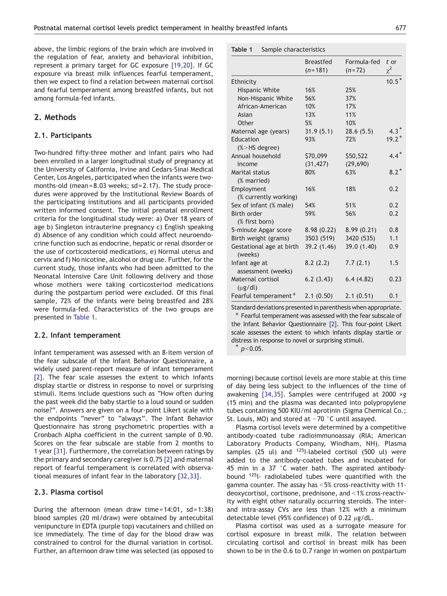<span id="page-2-0"></span>above, the limbic regions of the brain which are involved in the regulation of fear, anxiety and behavioral inhibition, represent a primary target for GC exposure [\[19,20\].](#page-5-0) If GC exposure via breast milk influences fearful temperament, then we expect to find a relation between maternal cortisol and fearful temperament among breastfed infants, but not among formula-fed infants.

## 2. Methods

## 2.1. Participants

Two-hundred fifty-three mother and infant pairs who had been enrolled in a larger longitudinal study of pregnancy at the University of California, Irvine and Cedars-Sinai Medical Center, Los Angeles, participated when the infants were twomonths-old (mean = 8.03 weeks; sd = 2.17). The study procedures were approved by the Institutional Review Boards of the participating institutions and all participants provided written informed consent. The initial prenatal enrollment criteria for the longitudinal study were: a) Over 18 years of age b) Singleton intrauterine pregnancy c) English speaking d) Absence of any condition which could affect neuroendocrine function such as endocrine, hepatic or renal disorder or the use of corticosteroid medications, e) Normal uterus and cervix and f) No nicotine, alcohol or drug use. Further, for the current study, those infants who had been admitted to the Neonatal Intensive Care Unit following delivery and those whose mothers were taking corticosteriod medications during the postpartum period were excluded. Of this final sample, 72% of the infants were being breastfed and 28% were formula-fed. Characteristics of the two groups are presented in Table 1.

#### 2.2. Infant temperament

Infant temperament was assessed with an 8-item version of the fear subscale of the Infant Behavior Questionnaire, a widely used parent-report measure of infant temperament [\[2\].](#page-5-0) The fear scale assesses the extent to which infants display startle or distress in response to novel or surprising stimuli. Items include questions such as "How often during the past week did the baby startle to a loud sound or sudden noise?". Answers are given on a four-point Likert scale with the endpoints "never" to "always". The Infant Behavior Questionnaire has strong psychometric properties with a Cronbach Alpha coefficient in the current sample of 0.90. Scores on the fear subscale are stable from 2 months to 1 year [\[31\]](#page-5-0). Furthermore, the correlation between ratings by the primary and secondary caregiver is 0.75 [\[2\]](#page-5-0) and maternal report of fearful temperament is correlated with observational measures of infant fear in the laboratory [\[32,33\]](#page-5-0).

## 2.3. Plasma cortisol

During the afternoon (mean draw time =  $14:01$ , sd =  $1:38$ ) blood samples (20 ml/draw) were obtained by antecubital venipuncture in EDTA (purple top) vacutainers and chilled on ice immediately. The time of day for the blood draw was constrained to control for the diurnal variation in cortisol. Further, an afternoon draw time was selected (as opposed to

|  | Table 1 |  |  |  | Sample characteristics |  |
|--|---------|--|--|--|------------------------|--|
|--|---------|--|--|--|------------------------|--|

|                                    | <b>Breastfed</b> | Formula-fed | t or     |
|------------------------------------|------------------|-------------|----------|
|                                    | $(n=181)$        | $(n=72)$    | $\chi^2$ |
| Ethnicity                          |                  |             | $10.5*$  |
| Hispanic White                     | 16%              | 25%         |          |
| Non-Hispanic White                 | 56%              | 37%         |          |
| African-American                   | 10%              | 17%         |          |
| Asian                              | 13%              | 11%         |          |
| Other                              | 5%               | 10%         |          |
| Maternal age (years)               | 31.9(5.1)        | 28.6(5.5)   | $4.3*$   |
| Education                          | 93%              | 72%         | $19.2*$  |
| $(% )$ /S $\rightarrow$ HS degree) |                  |             |          |
| Annual household                   | \$70,099         | \$50,522    | $4.4*$   |
| income                             | (31, 427)        | (29, 690)   |          |
| Marital status                     | 80%              | 63%         | $8.2*$   |
| (% married)                        |                  |             |          |
| Employment                         | 16%              | 18%         | 0.2      |
| (% currently working)              |                  |             |          |
| Sex of infant (% male)             | 54%              | 51%         | 0.2      |
| <b>Birth order</b>                 | 59%              | 56%         | 0.2      |
| (% first born)                     |                  |             |          |
| 5-minute Apgar score               | 8.98(0.22)       | 8.99(0.21)  | 0.8      |
| Birth weight (grams)               | 3503 (519)       | 3420 (535)  | 1.1      |
| Gestational age at birth           | 39.2 (1.46)      | 39.0 (1.40) | 0.9      |
| (weeks)                            |                  |             |          |
| Infant age at                      | 8.2(2.2)         | 7.7(2.1)    | 1.5      |
| assessment (weeks)                 |                  |             |          |
| Maternal cortisol                  | 6.2(3.43)        | 6.4(4.82)   | 0.23     |
| $(\mu$ g/dl)                       |                  |             |          |
| Fearful temperament <sup>a</sup>   | 2.1(0.50)        | 2.1(0.51)   | 0.1      |

Standard deviations presented in parenthesis when Standard deviations presented in parenthesis when appropriate. <sup>a</sup> Fearful temperament was assessed with the fear subscale of the Infant Behavior Questionnaire [\[2\].](#page-5-0) This four-point Likert scale assesses the extent to which infants display startle or distress in response to novel or surprising stimuli.

 $p<0.05$ .

morning) because cortisol levels are more stable at this time of day being less subject to the influences of the time of awakening [\[34,35\]](#page-5-0). Samples were centrifuged at 2000 ×g (15 min) and the plasma was decanted into polypropylene tubes containing 500 KIU/ml aprotinin (Sigma Chemical Co.; St. Louis, MO) and stored at −70 °C until assayed.

Plasma cortisol levels were determined by a competitive antibody-coated tube radioimmunoassay (RIA; American Laboratory Products Company, Windham, NH). Plasma samples  $(25 \text{ ul})$  and  $125$ I-labeled cortisol  $(500 \text{ ul})$  were added to the antibody-coated tubes and incubated for 45 min in a 37 °C water bath. The aspirated antibodybound 125I- radiolabeled tubes were quantified with the gamma counter. The assay has  $< 5%$  cross-reactivity with 11deoxycortisol, cortisone, prednisone, and <1% cross-reactivity with eight other naturally occurring steroids. The interand intra-assay CVs are less than 12% with a minimum detectable level (95% confidence) of 0.22 μg/dL.

Plasma cortisol was used as a surrogate measure for cortisol exposure in breast milk. The relation between circulating cortisol and cortisol in breast milk has been shown to be in the 0.6 to 0.7 range in women on postpartum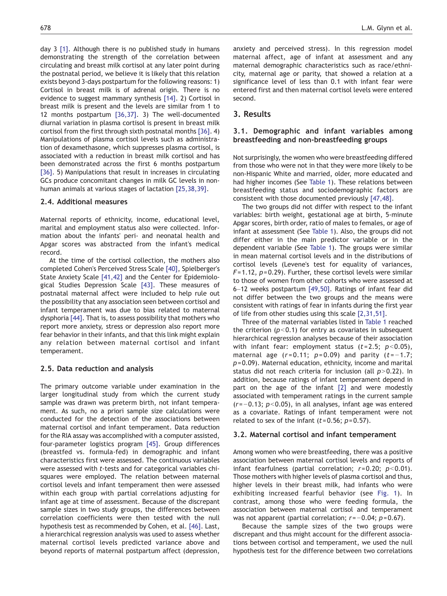day 3 [\[1\].](#page-4-0) Although there is no published study in humans demonstrating the strength of the correlation between circulating and breast milk cortisol at any later point during the postnatal period, we believe it is likely that this relation exists beyond 3-days postpartum for the following reasons: 1) Cortisol in breast milk is of adrenal origin. There is no evidence to suggest mammary synthesis [\[14\]](#page-5-0). 2) Cortisol in breast milk is present and the levels are similar from 1 to 12 months postpartum [\[36,37\].](#page-5-0) 3) The well-documented diurnal variation in plasma cortisol is present in breast milk cortisol from the first through sixth postnatal months [\[36\].](#page-5-0) 4) Manipulations of plasma cortisol levels such as administration of dexamethasone, which suppresses plasma cortisol, is associated with a reduction in breast milk cortisol and has been demonstrated across the first 6 months postpartum [\[36\].](#page-5-0) 5) Manipulations that result in increases in circulating GCs produce concomitant changes in milk GC levels in nonhuman animals at various stages of lactation [\[25,38,39\]](#page-5-0).

## 2.4. Additional measures

Maternal reports of ethnicity, income, educational level, marital and employment status also were collected. Information about the infants' peri- and neonatal health and Apgar scores was abstracted from the infant's medical record.

At the time of the cortisol collection, the mothers also completed Cohen's Perceived Stress Scale [\[40\],](#page-5-0) Spielberger's State Anxiety Scale [\[41,42\]](#page-5-0) and the Center for Epidemiological Studies Depression Scale [\[43\].](#page-5-0) These measures of postnatal maternal affect were included to help rule out the possibility that any association seen between cortisol and infant temperament was due to bias related to maternal dysphoria [\[44\].](#page-5-0) That is, to assess possibility that mothers who report more anxiety, stress or depression also report more fear behavior in their infants, and that this link might explain any relation between maternal cortisol and infant temperament.

#### 2.5. Data reduction and analysis

The primary outcome variable under examination in the larger longitudinal study from which the current study sample was drawn was preterm birth, not infant temperament. As such, no a priori sample size calculations were conducted for the detection of the associations between maternal cortisol and infant temperament. Data reduction for the RIA assay was accomplished with a computer assisted, four-parameter logistics program [\[45\].](#page-5-0) Group differences (breastfed vs. formula-fed) in demographic and infant characteristics first were assessed. The continuous variables were assessed with t-tests and for categorical variables chisquares were employed. The relation between maternal cortisol levels and infant temperament then were assessed within each group with partial correlations adjusting for infant age at time of assessment. Because of the discrepant sample sizes in two study groups, the differences between correlation coefficients were then tested with the null hypothesis test as recommended by Cohen, et al. [\[46\].](#page-5-0) Last, a hierarchical regression analysis was used to assess whether maternal cortisol levels predicted variance above and beyond reports of maternal postpartum affect (depression, anxiety and perceived stress). In this regression model maternal affect, age of infant at assessment and any maternal demographic characteristics such as race/ethnicity, maternal age or parity, that showed a relation at a significance level of less than 0.1 with infant fear were entered first and then maternal cortisol levels were entered second.

## 3. Results

## 3.1. Demographic and infant variables among breastfeeding and non-breastfeeding groups

Not surprisingly, the women who were breastfeeding differed from those who were not in that they were more likely to be non-Hispanic White and married, older, more educated and had higher incomes (See [Table 1](#page-2-0)). These relations between breastfeeding status and sociodemographic factors are consistent with those documented previously [\[47,48\]](#page-6-0).

The two groups did not differ with respect to the infant variables: birth weight, gestational age at birth, 5-minute Apgar scores, birth order, ratio of males to females, or age of infant at assessment (See [Table 1\)](#page-2-0). Also, the groups did not differ either in the main predictor variable or in the dependent variable (See [Table 1](#page-2-0)). The groups were similar in mean maternal cortisol levels and in the distributions of cortisol levels (Levene's test for equality of variances,  $F= 1.12$ ,  $p= 0.29$ ). Further, these cortisol levels were similar to those of women from other cohorts who were assessed at 6–12 weeks postpartum [\[49,50\].](#page-6-0) Ratings of infant fear did not differ between the two groups and the means were consistent with ratings of fear in infants during the first year of life from other studies using this scale [\[2,31,51\]](#page-5-0).

Three of the maternal variables listed in [Table 1](#page-2-0) reached the criterion ( $p<0.1$ ) for entry as covariates in subsequent hierarchical regression analyses because of their association with infant fear: employment status ( $t = 2.5$ ;  $p < 0.05$ ), maternal age  $(r=0.11; p=0.09)$  and parity  $(t=-1.7;$  $p = 0.09$ ). Maternal education, ethnicity, income and marital status did not reach criteria for inclusion (all  $p>0.22$ ). In addition, because ratings of infant temperament depend in part on the age of the infant [\[2\]](#page-5-0) and were modestly associated with temperament ratings in the current sample  $(r=-0.13; p<0.05)$ , in all analyses, infant age was entered as a covariate. Ratings of infant temperament were not related to sex of the infant  $(t=0.56; p=0.57)$ .

## 3.2. Maternal cortisol and infant temperament

Among women who were breastfeeding, there was a positive association between maternal cortisol levels and reports of infant fearfulness (partial correlation;  $r=0.20$ ;  $p<0.01$ ). Those mothers with higher levels of plasma cortisol and thus, higher levels in their breast milk, had infants who were exhibiting increased fearful behavior (see [Fig. 1\)](#page-1-0). In contrast, among those who were feeding formula, the association between maternal cortisol and temperament was not apparent (partial correlation;  $r=-0.04$ ;  $p=0.67$ ).

Because the sample sizes of the two groups were discrepant and thus might account for the different associations between cortisol and temperament, we used the null hypothesis test for the difference between two correlations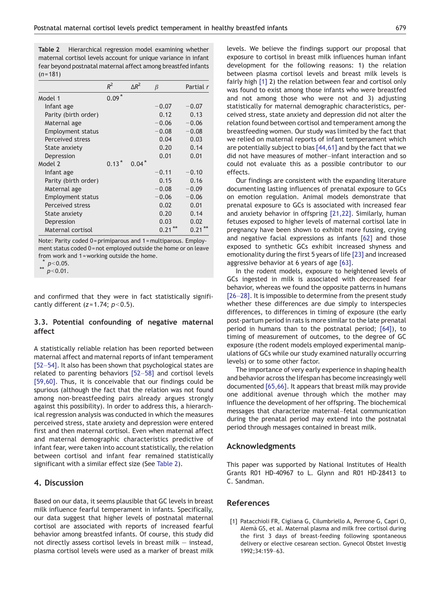<span id="page-4-0"></span>Table 2 Hierarchical regression model examining whether maternal cortisol levels account for unique variance in infant fear beyond postnatal maternal affect among breastfed infants  $(n = 181)$ 

|                          | $R^2$   | $\Lambda R^2$ | β       | Partial r |
|--------------------------|---------|---------------|---------|-----------|
| Model 1                  | $0.09*$ |               |         |           |
| Infant age               |         |               | $-0.07$ | $-0.07$   |
| Parity (birth order)     |         |               | 0.12    | 0.13      |
| Maternal age             |         |               | $-0.06$ | $-0.06$   |
| <b>Employment status</b> |         |               | $-0.08$ | $-0.08$   |
| Perceived stress         |         |               | 0.04    | 0.03      |
| State anxiety            |         |               | 0.20    | 0.14      |
| Depression               |         |               | 0.01    | 0.01      |
| Model 2                  | $0.13*$ | $0.04*$       |         |           |
| Infant age               |         |               | $-0.11$ | $-0.10$   |
| Parity (birth order)     |         |               | 0.15    | 0.16      |
| Maternal age             |         |               | $-0.08$ | $-0.09$   |
| <b>Employment status</b> |         |               | $-0.06$ | $-0.06$   |
| Perceived stress         |         |               | 0.02    | 0.01      |
| State anxiety            |         |               | 0.20    | 0.14      |
| Depression               |         |               | 0.03    | 0.02      |
| Maternal cortisol        |         |               | 0.21    | 0.21      |

Note: Parity coded 0 = primiparous and 1 = multiparous. Employment status coded 0 = not employed outside the home or on leave from work and 1 = working outside the home.

 $p<0.05$ .

 $p < 0.01$ .

and confirmed that they were in fact statistically significantly different ( $z = 1.74$ ;  $p < 0.5$ ).

# 3.3. Potential confounding of negative maternal affect

A statistically reliable relation has been reported between maternal affect and maternal reports of infant temperament [52–[54\].](#page-6-0) It also has been shown that psychological states are related to parenting behaviors [\[52](#page-6-0)–58] and cortisol levels [\[59,60\].](#page-6-0) Thus, it is conceivable that our findings could be spurious (although the fact that the relation was not found among non-breastfeeding pairs already argues strongly against this possibility). In order to address this, a hierarchical regression analysis was conducted in which the measures perceived stress, state anxiety and depression were entered first and then maternal cortisol. Even when maternal affect and maternal demographic characteristics predictive of infant fear, were taken into account statistically, the relation between cortisol and infant fear remained statistically significant with a similar effect size (See Table 2).

# 4. Discussion

Based on our data, it seems plausible that GC levels in breast milk influence fearful temperament in infants. Specifically, our data suggest that higher levels of postnatal maternal cortisol are associated with reports of increased fearful behavior among breastfed infants. Of course, this study did not directly assess cortisol levels in breast milk — instead, plasma cortisol levels were used as a marker of breast milk

levels. We believe the findings support our proposal that exposure to cortisol in breast milk influences human infant development for the following reasons: 1) the relation between plasma cortisol levels and breast milk levels is fairly high [1] 2) the relation between fear and cortisol only was found to exist among those infants who were breastfed and not among those who were not and 3) adjusting statistically for maternal demographic characteristics, perceived stress, state anxiety and depression did not alter the relation found between cortisol and temperament among the breastfeeding women. Our study was limited by the fact that we relied on maternal reports of infant temperament which are potentially subject to bias [\[44,61\]](#page-5-0) and by the fact that we did not have measures of mother–infant interaction and so could not evaluate this as a possible contributor to our effects.

Our findings are consistent with the expanding literature documenting lasting influences of prenatal exposure to GCs on emotion regulation. Animal models demonstrate that prenatal exposure to GCs is associated with increased fear and anxiety behavior in offspring [\[21,22\]](#page-5-0). Similarly, human fetuses exposed to higher levels of maternal cortisol late in pregnancy have been shown to exhibit more fussing, crying and negative facial expressions as infants [\[62\]](#page-6-0) and those exposed to synthetic GCs exhibit increased shyness and emotionality during the first 5 years of life [\[23\]](#page-5-0) and increased aggressive behavior at 6 years of age [\[63\]](#page-6-0).

In the rodent models, exposure to heightened levels of GCs ingested in milk is associated with decreased fear behavior, whereas we found the opposite patterns in humans [\[26](#page-5-0)–28]. It is impossible to determine from the present study whether these differences are due simply to interspecies differences, to differences in timing of exposure (the early post-partum period in rats is more similar to the late prenatal period in humans than to the postnatal period; [\[64\]](#page-6-0)), to timing of measurement of outcomes, to the degree of GC exposure (the rodent models employed experimental manipulations of GCs while our study examined naturally occurring levels) or to some other factor.

The importance of very early experience in shaping health and behavior across the lifespan has become increasingly well documented [\[65,66\]](#page-6-0). It appears that breast milk may provide one additional avenue through which the mother may influence the development of her offspring. The biochemical messages that characterize maternal–fetal communication during the prenatal period may extend into the postnatal period through messages contained in breast milk.

## Acknowledgments

This paper was supported by National Institutes of Health Grants R01 HD-40967 to L. Glynn and R01 HD-28413 to C. Sandman.

## References

[1] Patacchioli FR, Cigliana G, Cilumbriello A, Perrone G, Capri O, Alemà GS, et al. Maternal plasma and milk free cortisol during the first 3 days of breast-feeding following spontaneous delivery or elective cesarean section. Gynecol Obstet Investig 1992;34:159–63.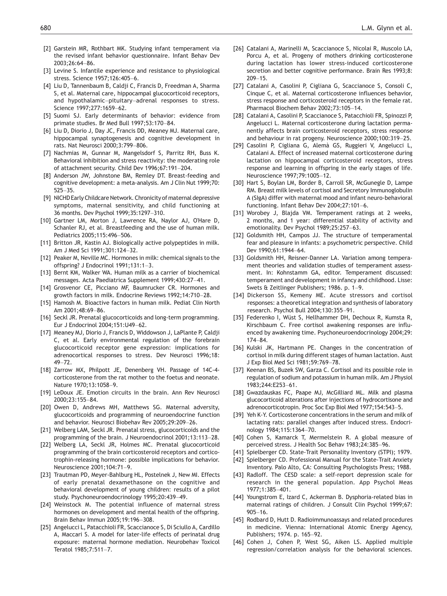- <span id="page-5-0"></span>[2] Garstein MR, Rothbart MK. Studying infant temperament via the revised infant behavior questionnaire. Infant Behav Dev 2003;26:64–86.
- [3] Levine S. Infantile experience and resistance to physiological stress. Science 1957;126:405–6.
- [4] Liu D, Tannenbaum B, Caldji C, Francis D, Freedman A, Sharma S, et al. Maternal care, hippocampal glucocorticoid receptors, and hypothalamic–pituitary–adrenal responses to stress. Science 1997;277:1659–62.
- [5] Suomi SJ. Early determinants of behavior: evidence from primate studies. Br Med Bull 1997;53:170–84.
- [6] Liu D, Diorio J, Day JC, Francis DD, Meaney MJ. Maternal care, hippocampal synaptogenesis and cognitive development in rats. Nat Neurosci 2000;3:799–806.
- [7] Nachmias M, Gunnar M, Mangelsdorf S, Parritz RH, Buss K. Behavioral inhibition and stress reactivity: the moderating role of attachment security. Child Dev 1996;67:191–204.
- [8] Anderson JW, Johnstone BM, Remley DT. Breast-feeding and cognitive development: a meta-analysis. Am J Clin Nut 1999;70: 525–35.
- [9] NICHD Early Childcare Network. Chronicity of maternal depressive symptoms, maternal sensitivity, and child functioning at 36 months. Dev Psychol 1999;35:1297–310.
- [10] Gartner LM, Morton J, Lawrence RA, Naylor AJ, O'Hare D, Schanler RJ, et al. Breastfeeding and the use of human milk. Pediatrics 2005;115:496–506.
- [11] Britton JR, Kastin AJ. Biologically active polypeptides in milk. Am J Med Sci 1991;301:124–32.
- [12] Peaker M, Neville MC. Hormones in milk: chemical signals to the offspring? J Endocrinol 1991;131:1–3.
- [13] Bernt KM, Walker WA. Human milk as a carrier of biochemical messages. Acta Paediatrica Supplement 1999;430:27–41.
- [14] Grosvenor CE, Picciano MF, Baumrucker CR. Hormones and growth factors in milk. Endocrine Reviews 1992;14:710–28.
- [15] Hamosh M. Bioactive factors in human milk. Pediat Clin North Am 2001;48:69–86.
- [16] Seckl JR. Prenatal glucocorticoids and long-term programming. Eur J Endocrinol 2004;151:U49–62.
- [17] Meaney MJ, Diorio J, Francis D, Widdowson J, LaPlante P, Caldji C, et al. Early environmental regulation of the forebrain glucocorticoid receptor gene expression: implications for adrenocortical responses to stress. Dev Neurosci 1996;18: 49–72.
- [18] Zarrow MX, Philpott JE, Denenberg VH. Passage of 14C-4corticosterone from the rat mother to the foetus and neonate. Nature 1970;13:1058–9.
- [19] LeDoux JE. Emotion circuits in the brain. Ann Rev Neurosci 2000;23:155–84.
- [20] Owen D. Andrews MH, Matthews SG, Maternal adversity, glucocorticoids and programming of neuroendocrine function and behavior. Neurosci Biobehav Rev 2005;29:209–26.
- [21] Welberg LAM, Seckl JR. Prenatal stress, glucocorticoids and the programming of the brain. J Neuroendocrinol 2001;13:113–28.
- [22] Welberg LA, Seckl JR, Holmes MC. Prenatal glucocorticoid programming of the brain corticosteroid receptors and corticotrophin-releasing hormone: possible implications for behavior. Neuroscience 2001;104:71–9.
- [23] Trautman PD, Meyer-Bahlburg HL, Postelnek J, New MI. Effects of early prenatal dexamethasone on the cognitive and behavioral development of young children: results of a pilot study. Psychoneuroendocrinology 1995;20:439–49.
- [24] Weinstock M. The potential influence of maternal stress hormones on development and mental health of the offspring. Brain Behav Immun 2005;19:196–308.
- [25] Angelucci L, Patacchioli FR, Scaccianoce S, Di Sciullo A, Cardillo A, Maccari S. A model for later-life effects of perinatal drug exposure: maternal hormone mediation. Neurobehav Toxicol Teratol 1985;7:511–7.
- [26] Catalani A, Marinelli M, Scaccianoce S, Nicolai R, Muscolo LA, Porcu A, et al. Progeny of mothers drinking corticosterone during lactation has lower stress-induced corticosterone secretion and better cognitive performance. Brain Res 1993;8: 209–15.
- [27] Catalani A, Casolini P, Cigliana G, Scaccianoce S, Consoli C, Cinque C, et al. Maternal corticosterone influences behavior, stress response and corticosteroid receptors in the female rat. Pharmacol Biochem Behav 2002;73:105–14.
- [28] Catalani A, Casolini P, Scaccianoce S, Patacchioli FR, Spinozzi P, Angelucci L. Maternal corticosterone during lactation permanently affects brain corticosteroid receptors, stress response and behaviour in rat progeny. Neuroscience 2000;100:319–25.
- [29] Casolini P, Cigliana G, Alemà GS, Ruggieri V, Angelucci L, Catalani A. Effect of increased maternal corticosterone during lactation on hippocampal corticosteroid receptors, stress response and learning in offspring in the early stages of life. Neuroscience 1997;79:1005–12.
- [30] Hart S, Boylan LM, Border B, Carroll SR, McGunegle D, Lampe RM. Breast milk levels of cortisol and Secretory Immunoglobulin A (SIgA) differ with maternal mood and infant neuro-behavioral functioning. Infant Behav Dev 2004;27:101–6.
- [31] Worobey J, Blajda VM. Temperament ratings at 2 weeks, 2 months, and 1 year: differential stability of activity and emotionality. Dev Psychol 1989;25:257–63.
- [32] Goldsmith HH, Campos JJ. The structure of temperamental fear and pleasure in infants: a psychometric perspective. Child Dev 1990;61:1944–64.
- [33] Goldsmith HH, Reisner-Danner LA. Variation among temperament theories and validation studies of temperament assessment. In: Kohnstamm GA, editor. Temperament discussed: temperament and development in infancy and childhood. Lisse: Swets & Zeitlinger Publishers; 1986. p. 1–9.
- [34] Dickerson SS, Kemeny ME. Acute stressors and cortisol responses: a theoretical integration and synthesis of laboratory research. Psychol Bull 2004;130:355–91.
- [35] Federenko I, Wüst S, Hellhammer DH, Dechoux R, Kumsta R, Kirschbaum C. Free cortisol awakening responses are influenced by awakening time. Psychoneuroendocrinology 2004;29: 174–84.
- [36] Kulski JK, Hartmann PE. Changes in the concentration of cortisol in milk during different stages of human lactation. Aust J Exp Biol Med Sci 1981;59:769–78.
- [37] Keenan BS, Buzek SW, Garza C. Cortisol and its possible role in regulation of sodium and potassium in human milk. Am J Physiol 1983;244:E253–61.
- [38] Gwazdauskas FC, Paape MJ, McGilliard ML. Milk and plasma glucocorticoid alterations after injections of hydrocortisone and adrenocorticotropin. Proc Soc Exp Biol Med 1977;154:543–5.
- [39] Yeh K-Y. Corticosterone concentrations in the serum and milk of lactating rats: parallel changes after induced stress. Endocrinology 1984;115:1364–70.
- [40] Cohen S, Kamarck T, Mermelstein R. A global measure of perceived stress. J Health Soc Behav 1983;24:385–96.
- [41] Spielberger CD. State-Trait Personality Inventory (STPI); 1979.
- [42] Spielberger CD. Professional Manual for the State-Trait Anxiety Inventory. Palo Alto, CA: Consulting Psychologists Press; 1988.
- [43] Radloff. The CESD scale: a self-report depression scale for research in the general population. App Psychol Meas 1977;1:385–401.
- [44] Youngstrom E, Izard C, Ackerman B. Dysphoria-related bias in maternal ratings of children. J Consult Clin Psychol 1999;67: 905–16.
- [45] Rodbard D, Hutt D. Radioimmunoassays and related procedures in medicine. Vienna: International Atomic Energy Agency, Publishers; 1974. p. 165–92.
- [46] Cohen J, Cohen P, West SG, Aiken LS. Applied multiple regression/correlation analysis for the behavioral sciences.